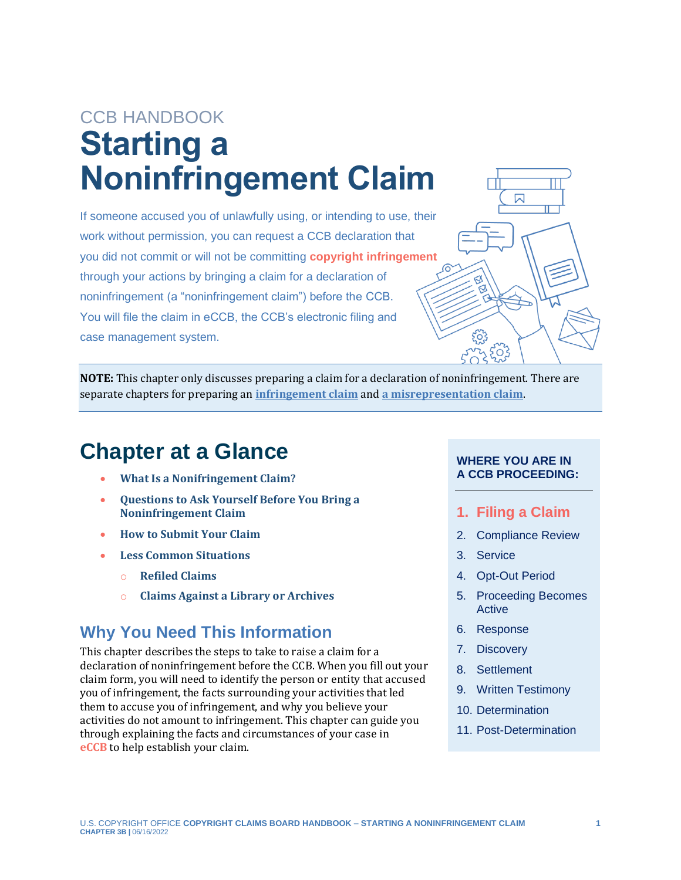# CCB HANDBOOK **Starting a Noninfringement Claim**

If someone accused you of unlawfully using, or intending to use, their work without permission, you can request a CCB declaration that you did not commit or will not be committing **copyright [infringement](#page-18-0)** through your actions by bringing a claim for a [declaration of](#page-18-0)  [noninfringement](#page-18-0) (a "noninfringement claim") before the CCB. You will file the claim in eCCB, the CCB's electronic filing and case management system.

<span id="page-0-0"></span>

**NOTE:** This chapter only discusses preparing a claim for a declaration of noninfringement. There are separate chapters for preparing an **[infringement claim](https://ccb.gov/handbook/Infringement-Claim.pdf)** and **[a misrepresentation claim](https://ccb.gov/handbook/Misrepresentation-Claim.pdf)**.

# **Chapter at a Glance**

- **[What Is a Nonifringement Claim?](#page-1-0)**
- **[Questions to Ask Yourself Before You Bring a](#page-3-0) [Noninfringement Claim](#page-3-0)**
- **[How to Submit](#page-5-0) Your Claim**
- **[Less Common Situations](#page-17-0)**
	- o **[Refiled Claims](#page-17-1)**
	- o **[Claims Against a Library or Archives](#page-17-2)**

### **Why You Need This Information**

<span id="page-0-1"></span>This chapter describes the steps to take to raise a claim for a declaration of noninfringement before the CCB. When you fill out your claim form, you will need to identify the person or entity that accused you of infringement, the facts surrounding your activities that led them to accuse you of infringement, and why you believe your activities do not amount to infringement. This chapter can guide you through explaining the facts and circumstances of your case in **[eCCB](#page-18-0)** to help establish your claim.

#### **WHERE YOU ARE IN A CCB PROCEEDING:**

- **1. Filing a Claim**
- 2. Compliance Review
- 3. Service
- 4. Opt-Out Period
- 5. Proceeding Becomes Active
- 6. Response
- 7. Discovery
- 8. Settlement
- 9. Written Testimony
- 10. Determination
- 11. Post-Determination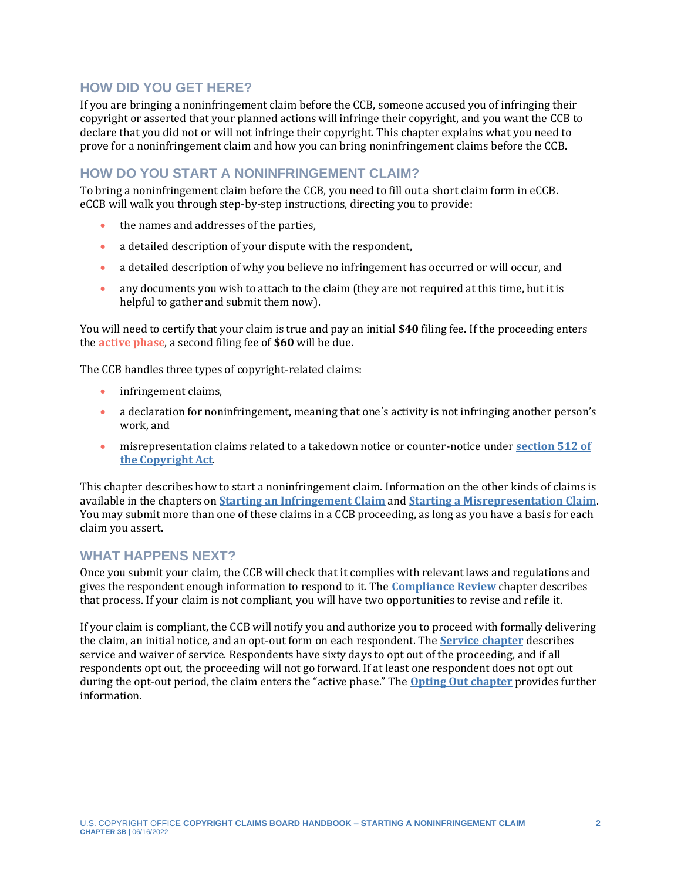#### **HOW DID YOU GET HERE?**

If you are bringing a noninfringement claim before the CCB, someone accused you of infringing their copyright or asserted that your planned actions will infringe their copyright, and you want the CCB to declare that you did not or will not infringe their copyright. This chapter explains what you need to prove for a noninfringement claim and how you can bring noninfringement claims before the CCB.

#### **HOW DO YOU START A NONINFRINGEMENT CLAIM?**

To bring a noninfringement claim before the CCB, you need to fill out a short claim form in eCCB. eCCB will walk you through step-by-step instructions, directing you to provide:

- the names and addresses of the parties,
- a detailed description of your dispute with the respondent.
- a detailed description of why you believe no infringement has occurred or will occur, and
- any documents you wish to attach to the claim (they are not required at this time, but it is helpful to gather and submit them now).

You will need to certify that your claim is true and pay an initial **\$40** filing fee. If the proceeding enters the **[active phase](#page-18-0)**, a second filing fee of **\$60** will be due.

The CCB handles three types of copyright-related claims:

- infringement claims,
- a declaration for noninfringement, meaning that one's activity is not infringing another person's work, and
- misrepresentation claims related to a takedown notice or counter-notice under **[section 512 of](https://copyright.gov/title17/92chap5.html#512)  [the Copyright Act](https://copyright.gov/title17/92chap5.html#512)**.

This chapter describes how to start a noninfringement claim. Information on the other kinds of claims is available in the chapters on **[Starting an Infringement Claim](https://ccb.gov/handbook/Infringement-Claim.pdf)** and **[Starting a Misrepresentation Claim](https://ccb.gov/handbook/Misrepresentation-Claim.pdf)**. You may submit more than one of these claims in a CCB proceeding, as long as you have a basis for each claim you assert.

#### **WHAT HAPPENS NEXT?**

Once you submit your claim, the CCB will check that it complies with relevant laws and regulations and gives the respondent enough information to respond to it. The **[Compliance Review](https://ccb.gov/handbook/Compliance.pdf)** chapter describes that process. If your claim is not compliant, you will have two opportunities to revise and refile it.

<span id="page-1-0"></span>If your claim is compliant, the CCB will notify you and authorize you to proceed with formally delivering the claim, an initial notice, and an opt-out form on each respondent. The **[Service chapter](https://ccb.gov/handbook/Service.pdf)** describes service and waiver of service. Respondents have sixty days to opt out of the proceeding, and if all respondents opt out, the proceeding will not go forward. If at least one respondent does not opt out during the opt-out period, the claim enters the "active phase." The **[Opting Out chapter](https://ccb.gov/handbook/Opting-Out.pdf)** provides further information.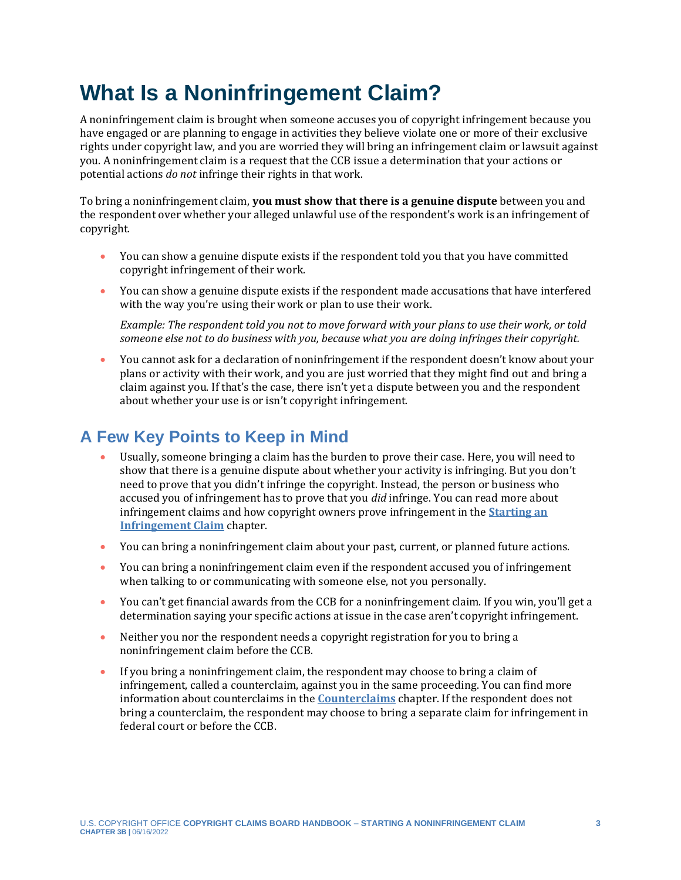# **What Is a Noninfringement Claim?**

A noninfringement claim is brought when someone accuses you of copyright infringement because you have engaged or are planning to engage in activities they believe violate one or more of their exclusive rights under copyright law, and you are worried they will bring an infringement claim or lawsuit against you. A noninfringement claim is a request that the CCB issue a determination that your actions or potential actions *do not* infringe their rights in that work.

To bring a noninfringement claim, **you must show that there is a genuine dispute** between you and the respondent over whether your alleged unlawful use of the respondent's work is an infringement of copyright.

- You can show a genuine dispute exists if the respondent told you that you have committed copyright infringement of their work.
- You can show a genuine dispute exists if the respondent made accusations that have interfered with the way you're using their work or plan to use their work.

*Example: The respondent told you not to move forward with your plans to use their work, or told someone else not to do business with you, because what you are doing infringes their copyright.* 

• You cannot ask for a declaration of noninfringement if the respondent doesn't know about your plans or activity with their work, and you are just worried that they might find out and bring a claim against you. If that's the case, there isn't yet a dispute between you and the respondent about whether your use is or isn't copyright infringement.

### **A Few Key Points to Keep in Mind**

- Usually, someone bringing a claim has the burden to prove their case. Here, you will need to show that there is a genuine dispute about whether your activity is infringing. But you don't need to prove that you didn't infringe the copyright. Instead, the person or business who accused you of infringement has to prove that you *did* infringe. You can read more about infringement claims and how copyright owners prove infringement in the **[Starting an](https://ccb.gov/handbook/Infringement-Claim.pdf)  [Infringement Claim](https://ccb.gov/handbook/Infringement-Claim.pdf)** chapter.
- You can bring a noninfringement claim about your past, current, or planned future actions.
- You can bring a noninfringement claim even if the respondent accused you of infringement when talking to or communicating with someone else, not you personally.
- You can't get financial awards from the CCB for a noninfringement claim. If you win, you'll get a determination saying your specific actions at issue in the case aren't copyright infringement.
- Neither you nor the respondent needs a copyright registration for you to bring a noninfringement claim before the CCB.
- If you bring a noninfringement claim, the respondent may choose to bring a claim of infringement, called a counterclaim, against you in the same proceeding. You can find more information about counterclaims in the **[Counterclaims](https://ccb.gov/handbook/Counterclaims.pdf)** chapter. If the respondent does not bring a counterclaim, the respondent may choose to bring a separate claim for infringement in federal court or before the CCB.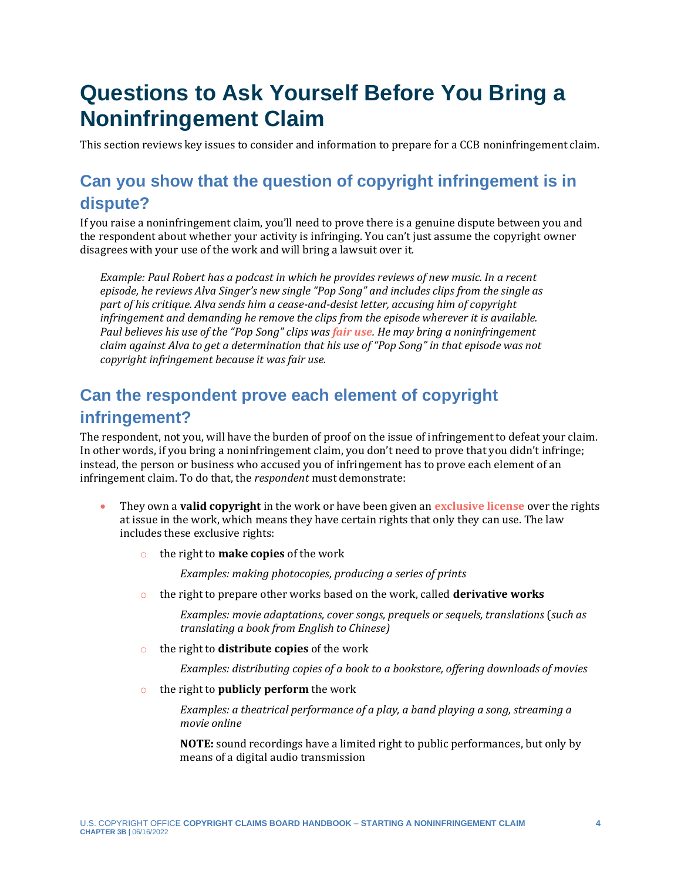# <span id="page-3-0"></span>**Questions to Ask Yourself Before You Bring a Noninfringement Claim**

This section reviews key issues to consider and information to prepare for a CCB noninfringement claim.

# **Can you show that the question of copyright infringement is in dispute?**

If you raise a noninfringement claim, you'll need to prove there is a genuine dispute between you and the respondent about whether your activity is infringing. You can't just assume the copyright owner disagrees with your use of the work and will bring a lawsuit over it.

<span id="page-3-3"></span>*Example: Paul Robert has a podcast in which he provides reviews of new music. In a recent episode, he reviews Alva Singer's new single "Pop Song" and includes clips from the single as part of his critique. Alva sends him a cease-and-desist letter, accusing him of copyright infringement and demanding he remove the clips from the episode wherever it is available. Paul believes his use of the "Pop Song" clips was [fair use](#page-18-0). He may bring a noninfringement claim against Alva to get a determination that his use of "Pop Song" in that episode was not copyright infringement because it was fair use.*

## <span id="page-3-1"></span>**Can the respondent prove each element of copyright infringement?**

The respondent, not you, will have the burden of proof on the issue of infringement to defeat your claim. In other words, if you bring a noninfringement claim, you don't need to prove that you didn't infringe; instead, the person or business who accused you of infringement has to prove each element of an infringement claim. To do that, the *respondent* must demonstrate:

- They own a **valid copyright** in the work or have been given an **[exclusive license](#page-18-0)** over the rights at issue in the work, which means they have certain rights that only they can use. The law includes these exclusive rights:
	- o the right to **make copies** of the work

<span id="page-3-2"></span>*Examples: making photocopies, producing a series of prints*

o the right to prepare other works based on the work, called **derivative works**

*Examples: movie adaptations, cover songs, prequels or sequels, translations* (*such as translating a book from English to Chinese)*

o the right to **distribute copies** of the work

*Examples: distributing copies of a book to a bookstore, offering downloads of movies*

o the right to **publicly perform** the work

*Examples: a theatrical performance of a play, a band playing a song, streaming a movie online*

**NOTE:** sound recordings have a limited right to public performances, but only by means of a digital audio transmission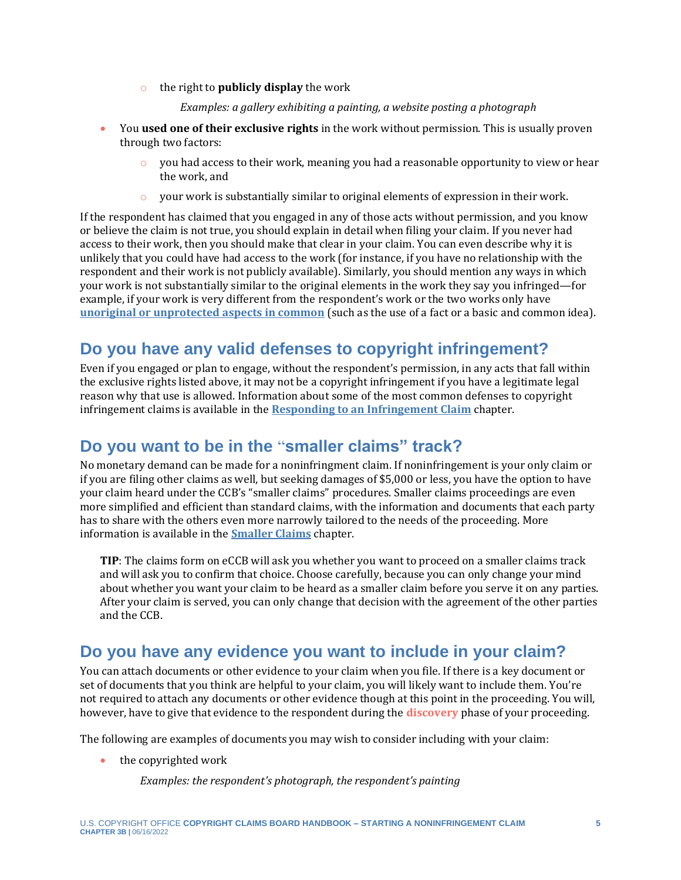- o the right to **publicly display** the work
	- *Examples: a gallery exhibiting a painting, a website posting a photograph*
- You **used one of their exclusive rights** in the work without permission. This is usually proven through two factors:
	- $\circ$  you had access to their work, meaning you had a reasonable opportunity to view or hear the work, and
	- $\circ$  your work is substantially similar to original elements of expression in their work.

If the respondent has claimed that you engaged in any of those acts without permission, and you know or believe the claim is not true, you should explain in detail when filing your claim. If you never had access to their work, then you should make that clear in your claim. You can even describe why it is unlikely that you could have had access to the work (for instance, if you have no relationship with the respondent and their work is not publicly available). Similarly, you should mention any ways in which your work is not substantially similar to the original elements in the work they say you infringed—for example, if your work is very different from the respondent's work or the two works only have **[unoriginal or unprotected aspects in common](https://www.copyright.gov/comp3/chap300/ch300-copyrightable-authorship.pdf)** (such as the use of a fact or a basic and common idea).

### **Do you have any valid defenses to copyright infringement?**

Even if you engaged or plan to engage, without the respondent's permission, in any acts that fall within the exclusive rights listed above, it may not be a copyright infringement if you have a legitimate legal reason why that use is allowed. Information about some of the most common defenses to copyright infringement claims is available in the **[Responding to an Infringement Claim](https://ccb.gov/handbook/Response-Infringement.pdf)** chapter.

## **Do you want to be in the** "**smaller claims" track?**

No monetary demand can be made for a noninfringment claim. If noninfringement is your only claim or if you are filing other claims as well, but seeking damages of \$5,000 or less, you have the option to have your claim heard under the CCB's "smaller claims" procedures. Smaller claims proceedings are even more simplified and efficient than standard claims, with the information and documents that each party has to share with the others even more narrowly tailored to the needs of the proceeding. More information is available in the **[Smaller Claims](https://ccb.gov/handbook/Smaller-Claims.pdf)** chapter.

**TIP**: The claims form on eCCB will ask you whether you want to proceed on a smaller claims track and will ask you to confirm that choice. Choose carefully, because you can only change your mind about whether you want your claim to be heard as a smaller claim before you serve it on any parties. After your claim is served, you can only change that decision with the agreement of the other parties and the CCB.

### <span id="page-4-0"></span>**Do you have any evidence you want to include in your claim?**

You can attach documents or other evidence to your claim when you file. If there is a key document or set of documents that you think are helpful to your claim, you will likely want to include them. You're not required to attach any documents or other evidence though at this point in the proceeding. You will, however, have to give that evidence to the respondent during the **[discovery](#page-18-0)** phase of your proceeding.

The following are examples of documents you may wish to consider including with your claim:

- <span id="page-4-1"></span>• the copyrighted work
	- *Examples: the respondent's photograph, the respondent's painting*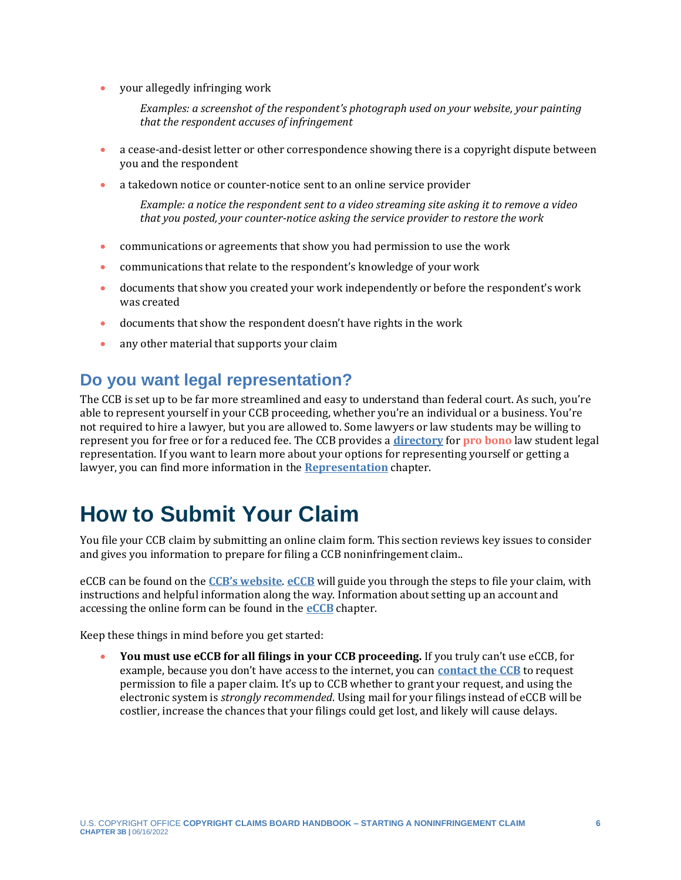• your allegedly infringing work

*Examples: a screenshot of the respondent's photograph used on your website, your painting that the respondent accuses of infringement*

- a cease-and-desist letter or other correspondence showing there is a copyright dispute between you and the respondent
- a takedown notice or counter-notice sent to an online service provider

*Example: a notice the respondent sent to a video streaming site asking it to remove a video that you posted, your counter-notice asking the service provider to restore the work*

- communications or agreements that show you had permission to use the work
- communications that relate to the respondent's knowledge of your work
- documents that show you created your work independently or before the respondent's work was created
- documents that show the respondent doesn't have rights in the work
- <span id="page-5-1"></span>• any other material that supports your claim

### **Do you want legal representation?**

The CCB is set up to be far more streamlined and easy to understand than federal court. As such, you're able to represent yourself in your CCB proceeding, whether you're an individual or a business. You're not required to hire a lawyer, but you are allowed to. Some lawyers or law students may be willing to represent you for free or for a reduced fee. The CCB provides a **[directory](https://ccb.gov/pro-bono-assistance/)** for **[pro bono](#page-18-0)** law student legal representation. If you want to learn more about your options for representing yourself or getting a lawyer, you can find more information in the **[Representation](https://ccb.gov/handbook/Representation.pdf)** chapter.

# <span id="page-5-0"></span>**How to Submit Your Claim**

You file your CCB claim by submitting an online claim form. This section reviews key issues to consider and gives you information to prepare for filing a CCB noninfringement claim..

eCCB can be found on the **[CCB's website](https://ccb.gov/)**. **[eCCB](https://dockets.ccb.gov/)** will guide you through the steps to file your claim, with instructions and helpful information along the way. Information about setting up an account and accessing the online form can be found in the **[eCCB](https://ccb.gov/handbook/eCCB.pdf)** chapter.

Keep these things in mind before you get started:

• **You must use eCCB for all filings in your CCB proceeding.** If you truly can't use eCCB, for example, because you don't have access to the internet, you can **[contact the CCB](https://ccb.gov/contact/)** to request permission to file a paper claim. It's up to CCB whether to grant your request, and using the electronic system is *strongly recommended*. Using mail for your filings instead of eCCB will be costlier, increase the chances that your filings could get lost, and likely will cause delays.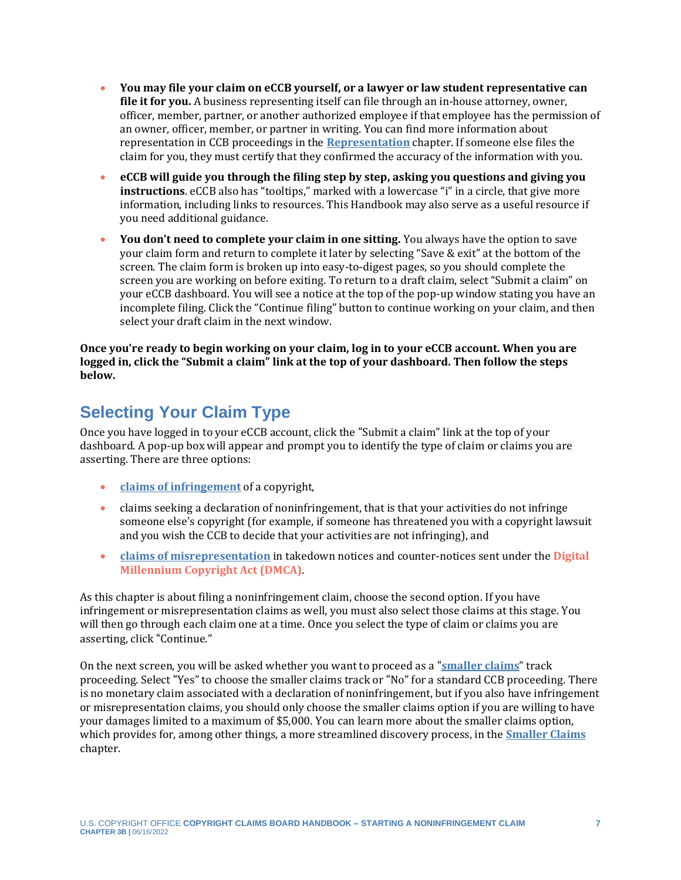- **You may file your claim on eCCB yourself, or a lawyer or law student representative can file it for you.** A business representing itself can file through an in-house attorney, owner, officer, member, partner, or another authorized employee if that employee has the permission of an owner, officer, member, or partner in writing. You can find more information about representation in CCB proceedings in the **[Representation](https://ccb.gov/handbook/Representation.pdf)** chapter. If someone else files the claim for you, they must certify that they confirmed the accuracy of the information with you.
- **eCCB will guide you through the filing step by step, asking you questions and giving you instructions**. eCCB also has "tooltips," marked with a lowercase "i" in a circle, that give more information, including links to resources. This Handbook may also serve as a useful resource if you need additional guidance.
- **You don't need to complete your claim in one sitting.** You always have the option to save your claim form and return to complete it later by selecting "Save & exit" at the bottom of the screen. The claim form is broken up into easy-to-digest pages, so you should complete the screen you are working on before exiting. To return to a draft claim, select "Submit a claim" on your eCCB dashboard. You will see a notice at the top of the pop-up window stating you have an incomplete filing. Click the "Continue filing" button to continue working on your claim, and then select your draft claim in the next window.

**Once you're ready to begin working on your claim, log in to your eCCB account. When you are logged in, click the "Submit a claim" link at the top of your dashboard. Then follow the steps below.**

## **Selecting Your Claim Type**

Once you have logged in to your eCCB account, click the "Submit a claim" link at the top of your dashboard. A pop-up box will appear and prompt you to identify the type of claim or claims you are asserting. There are three options:

- **[claims of infringement](https://ccb.gov/handbook/Infringement-Claim.pdf)** of a copyright,
- claims seeking a declaration of noninfringement, that is that your activities do not infringe someone else's copyright (for example, if someone has threatened you with a copyright lawsuit and you wish the CCB to decide that your activities are not infringing), and
- <span id="page-6-0"></span>• **[claims of misrepresentation](https://ccb.gov/handbook/Misrepresentation-Claim.pdf)** in takedown notices and counter-notices sent under the **[Digital](#page-18-0)  [Millennium Copyright Act \(DMCA\)](#page-18-0)**.

As this chapter is about filing a noninfringement claim, choose the second option. If you have infringement or misrepresentation claims as well, you must also select those claims at this stage. You will then go through each claim one at a time. Once you select the type of claim or claims you are asserting, click "Continue."

On the next screen, you will be asked whether you want to proceed as a "**[smaller claims](https://ccb.gov/handbook/Smaller-Claims.pdf)**" track proceeding. Select "Yes" to choose the smaller claims track or "No" for a standard CCB proceeding. There is no monetary claim associated with a declaration of noninfringement, but if you also have infringement or misrepresentation claims, you should only choose the smaller claims option if you are willing to have your damages limited to a maximum of \$5,000. You can learn more about the smaller claims option, which provides for, among other things, a more streamlined discovery process, in the **[Smaller Claims](https://ccb.gov/handbook/Smaller-Claims.pdf)** chapter.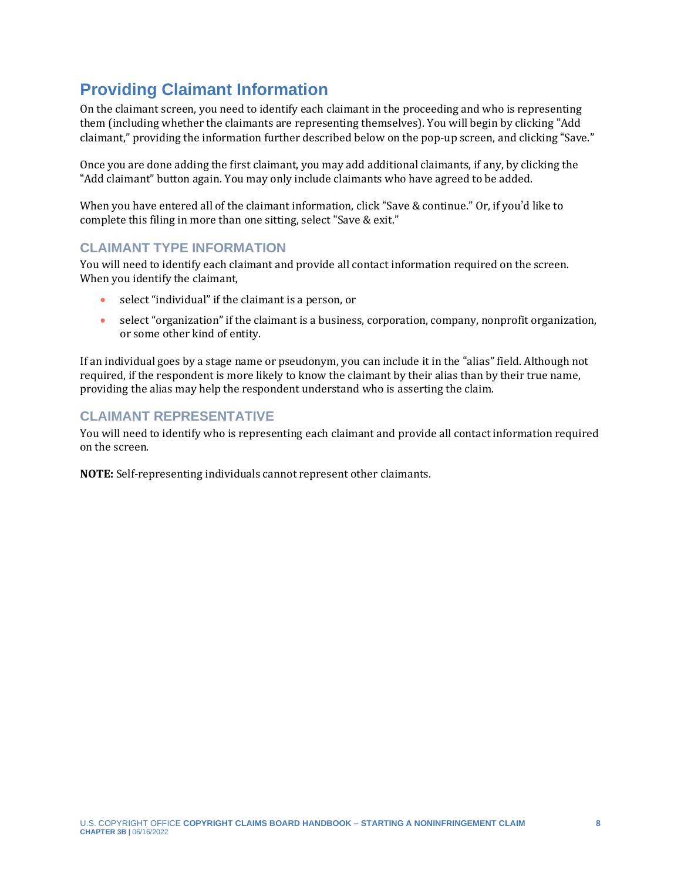## **Providing Claimant Information**

On the claimant screen, you need to identify each claimant in the proceeding and who is representing them (including whether the claimants are representing themselves). You will begin by clicking "Add claimant," providing the information further described below on the pop-up screen, and clicking "Save."

Once you are done adding the first claimant, you may add additional claimants, if any, by clicking the "Add claimant" button again. You may only include claimants who have agreed to be added.

When you have entered all of the claimant information, click "Save & continue." Or, if you'd like to complete this filing in more than one sitting, select "Save & exit."

#### **CLAIMANT TYPE INFORMATION**

You will need to identify each claimant and provide all contact information required on the screen. When you identify the claimant,

- select "individual" if the claimant is a person, or
- select "organization" if the claimant is a business, corporation, company, nonprofit organization, or some other kind of entity.

If an individual goes by a stage name or pseudonym, you can include it in the "alias" field. Although not required, if the respondent is more likely to know the claimant by their alias than by their true name, providing the alias may help the respondent understand who is asserting the claim.

#### **CLAIMANT REPRESENTATIVE**

You will need to identify who is representing each claimant and provide all contact information required on the screen.

**NOTE:** Self-representing individuals cannot represent other claimants.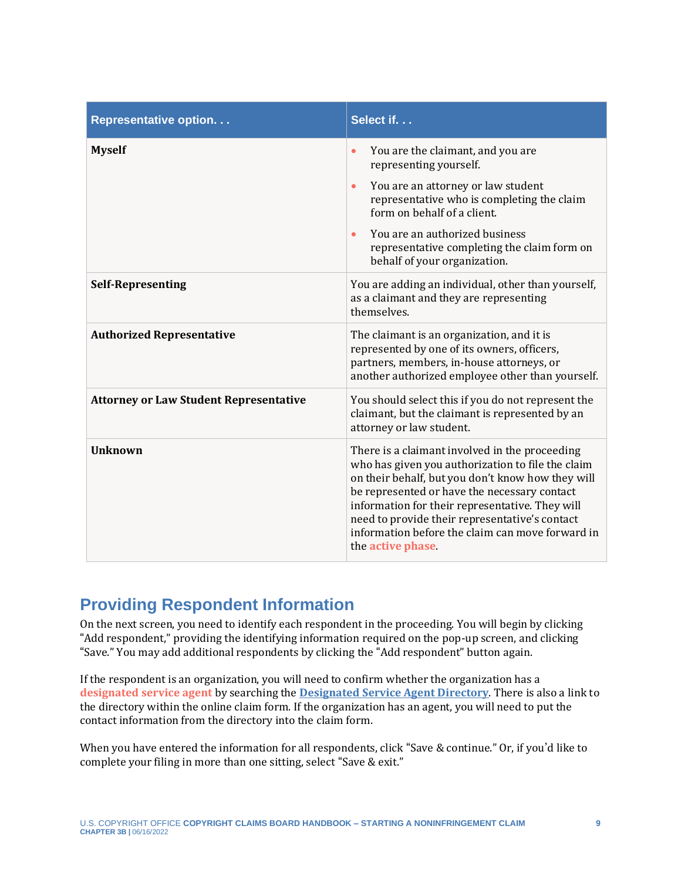| <b>Representative option</b>                  | Select if.                                                                                                                                                                                                                                                                                                                                                                             |
|-----------------------------------------------|----------------------------------------------------------------------------------------------------------------------------------------------------------------------------------------------------------------------------------------------------------------------------------------------------------------------------------------------------------------------------------------|
| <b>Myself</b>                                 | You are the claimant, and you are<br>$\bullet$<br>representing yourself.                                                                                                                                                                                                                                                                                                               |
|                                               | You are an attorney or law student<br>$\bullet$<br>representative who is completing the claim<br>form on behalf of a client.                                                                                                                                                                                                                                                           |
|                                               | You are an authorized business<br>$\bullet$<br>representative completing the claim form on<br>behalf of your organization.                                                                                                                                                                                                                                                             |
| <b>Self-Representing</b>                      | You are adding an individual, other than yourself,<br>as a claimant and they are representing<br>themselves.                                                                                                                                                                                                                                                                           |
| <b>Authorized Representative</b>              | The claimant is an organization, and it is<br>represented by one of its owners, officers,<br>partners, members, in-house attorneys, or<br>another authorized employee other than yourself.                                                                                                                                                                                             |
| <b>Attorney or Law Student Representative</b> | You should select this if you do not represent the<br>claimant, but the claimant is represented by an<br>attorney or law student.                                                                                                                                                                                                                                                      |
| <b>Unknown</b>                                | There is a claimant involved in the proceeding<br>who has given you authorization to file the claim<br>on their behalf, but you don't know how they will<br>be represented or have the necessary contact<br>information for their representative. They will<br>need to provide their representative's contact<br>information before the claim can move forward in<br>the active phase. |

### <span id="page-8-0"></span>**Providing Respondent Information**

On the next screen, you need to identify each respondent in the proceeding. You will begin by clicking "Add respondent," providing the identifying information required on the pop-up screen, and clicking "Save." You may add additional respondents by clicking the "Add respondent" button again.

<span id="page-8-1"></span>If the respondent is an organization, you will need to confirm whether the organization has a **[designated service agent](#page-18-0)** by searching the **[Designated Service Agent Directory](https://ccb.gov/designated-service-agent-directory/)**. There is also a link to the directory within the online claim form. If the organization has an agent, you will need to put the contact information from the directory into the claim form.

When you have entered the information for all respondents, click "Save & continue." Or, if you'd like to complete your filing in more than one sitting, select "Save & exit."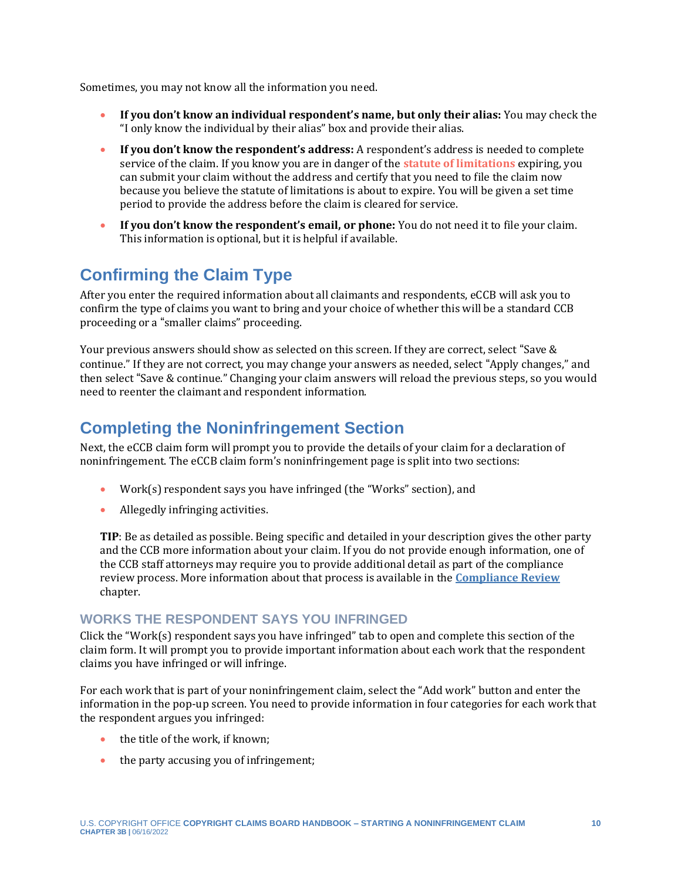Sometimes, you may not know all the information you need.

- **If you don't know an individual respondent's name, but only their alias:** You may check the "I only know the individual by their alias" box and provide their alias.
- <span id="page-9-0"></span>• **If you don't know the respondent's address:** A respondent's address is needed to complete service of the claim. If you know you are in danger of the **[statute of limitations](#page-18-0)** expiring, you can submit your claim without the address and certify that you need to file the claim now because you believe the statute of limitations is about to expire. You will be given a set time period to provide the address before the claim is cleared for service.
- **If you don't know the respondent's email, or phone:** You do not need it to file your claim. This information is optional, but it is helpful if available.

## **Confirming the Claim Type**

After you enter the required information about all claimants and respondents, eCCB will ask you to confirm the type of claims you want to bring and your choice of whether this will be a standard CCB proceeding or a "smaller claims" proceeding.

Your previous answers should show as selected on this screen. If they are correct, select "Save & continue." If they are not correct, you may change your answers as needed, select "Apply changes," and then select "Save & continue." Changing your claim answers will reload the previous steps, so you would need to reenter the claimant and respondent information.

## **Completing the Noninfringement Section**

Next, the eCCB claim form will prompt you to provide the details of your claim for a declaration of noninfringement. The eCCB claim form's noninfringement page is split into two sections:

- Work(s) respondent says you have infringed (the "Works" section), and
- Allegedly infringing activities.

**TIP**: Be as detailed as possible. Being specific and detailed in your description gives the other party and the CCB more information about your claim. If you do not provide enough information, one of the CCB staff attorneys may require you to provide additional detail as part of the compliance review process. More information about that process is available in the **[Compliance Review](https://ccb.gov/handbook/Compliance.pdf)** chapter.

#### **WORKS THE RESPONDENT SAYS YOU INFRINGED**

Click the "Work(s) respondent says you have infringed" tab to open and complete this section of the claim form. It will prompt you to provide important information about each work that the respondent claims you have infringed or will infringe.

For each work that is part of your noninfringement claim, select the "Add work" button and enter the information in the pop-up screen. You need to provide information in four categories for each work that the respondent argues you infringed:

- the title of the work, if known;
- the party accusing you of infringement;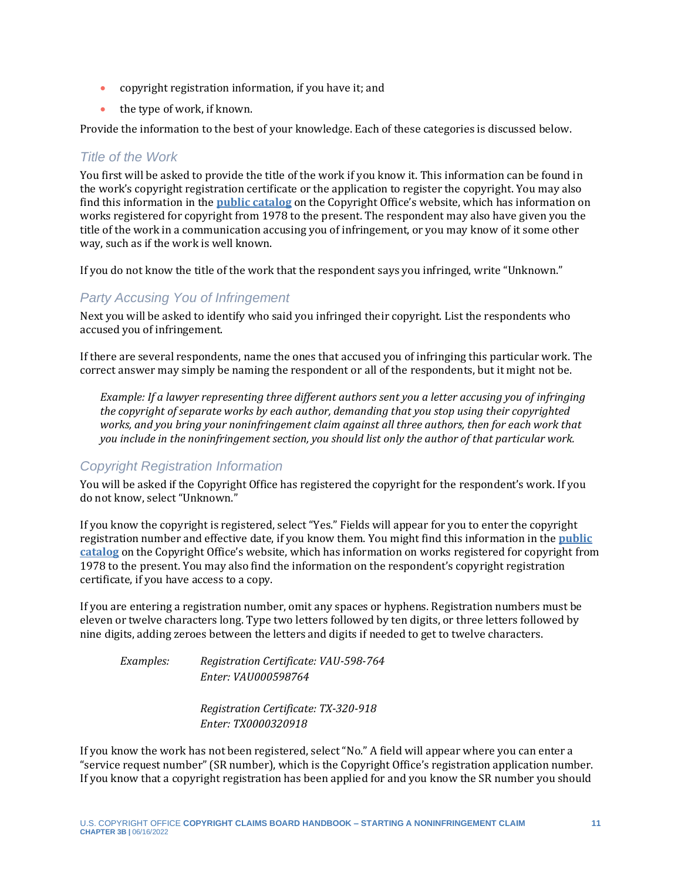- copyright registration information, if you have it; and
- the type of work, if known.

Provide the information to the best of your knowledge. Each of these categories is discussed below.

#### *Title of the Work*

You first will be asked to provide the title of the work if you know it. This information can be found in the work's copyright registration certificate or the application to register the copyright. You may also find this information in the **[public catalog](https://www.copyright.gov/public-records/)** on the Copyright Office's website, which has information on works registered for copyright from 1978 to the present. The respondent may also have given you the title of the work in a communication accusing you of infringement, or you may know of it some other way, such as if the work is well known.

If you do not know the title of the work that the respondent says you infringed, write "Unknown."

#### *Party Accusing You of Infringement*

Next you will be asked to identify who said you infringed their copyright. List the respondents who accused you of infringement.

If there are several respondents, name the ones that accused you of infringing this particular work. The correct answer may simply be naming the respondent or all of the respondents, but it might not be.

*Example: If a lawyer representing three different authors sent you a letter accusing you of infringing the copyright of separate works by each author, demanding that you stop using their copyrighted works, and you bring your noninfringement claim against all three authors, then for each work that you include in the noninfringement section, you should list only the author of that particular work.*

#### *Copyright Registration Information*

You will be asked if the Copyright Office has registered the copyright for the respondent's work. If you do not know, select "Unknown."

If you know the copyright is registered, select "Yes." Fields will appear for you to enter the copyright registration number and effective date, if you know them. You might find this information in the **[public](https://www.copyright.gov/public-records/)  [catalog](https://www.copyright.gov/public-records/)** on the Copyright Office's website, which has information on works registered for copyright from 1978 to the present. You may also find the information on the respondent's copyright registration certificate, if you have access to a copy.

If you are entering a registration number, omit any spaces or hyphens. Registration numbers must be eleven or twelve characters long. Type two letters followed by ten digits, or three letters followed by nine digits, adding zeroes between the letters and digits if needed to get to twelve characters.

*Examples: Registration Certificate: VAU-598-764 Enter: VAU000598764*

> *Registration Certificate: TX-320-918 Enter: TX0000320918*

If you know the work has not been registered, select "No." A field will appear where you can enter a "service request number" (SR number), which is the Copyright Office's registration application number. If you know that a copyright registration has been applied for and you know the SR number you should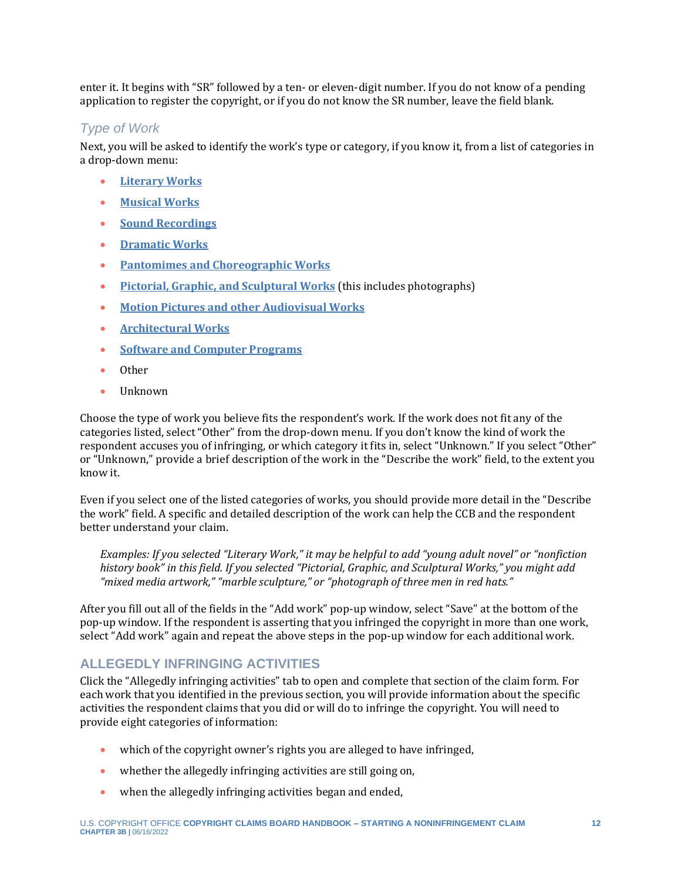enter it. It begins with "SR" followed by a ten- or eleven-digit number. If you do not know of a pending application to register the copyright, or if you do not know the SR number, leave the field blank.

#### *Type of Work*

Next, you will be asked to identify the work's type or category, if you know it, from a list of categories in a drop-down menu:

- **[Literary Works](https://www.copyright.gov/comp3/chap700/ch700-literary-works.pdf)**
- **[Musical Works](https://www.copyright.gov/circs/circ50.pdf)**
- **[Sound Recordings](https://www.copyright.gov/circs/circ56.pdf)**
- **[Dramatic Works](https://www.copyright.gov/comp3/chap800/ch800-performing-arts.pdf)**
- **[Pantomimes and Choreographic Works](https://www.copyright.gov/circs/circ52.pdf)**
- **[Pictorial, Graphic, and Sculptural Works](https://www.copyright.gov/comp3/chap900/ch900-visual-art.pdf)** (this includes photographs)
- **[Motion Pictures and other Audiovisual Works](https://www.copyright.gov/comp3/chap800/ch800-performing-arts.pdf)**
- **[Architectural Works](https://www.copyright.gov/circs/circ41.pdf)**
- **[Software and Computer Programs](https://www.copyright.gov/circs/circ61.pdf)**
- Other
- Unknown

Choose the type of work you believe fits the respondent's work. If the work does not fit any of the categories listed, select "Other" from the drop-down menu. If you don't know the kind of work the respondent accuses you of infringing, or which category it fits in, select "Unknown." If you select "Other" or "Unknown," provide a brief description of the work in the "Describe the work" field, to the extent you know it.

Even if you select one of the listed categories of works, you should provide more detail in the "Describe the work" field. A specific and detailed description of the work can help the CCB and the respondent better understand your claim.

*Examples: If you selected "Literary Work," it may be helpful to add "young adult novel" or "nonfiction history book" in this field. If you selected "Pictorial, Graphic, and Sculptural Works," you might add "mixed media artwork," "marble sculpture," or "photograph of three men in red hats."* 

After you fill out all of the fields in the "Add work" pop-up window, select "Save" at the bottom of the pop-up window. If the respondent is asserting that you infringed the copyright in more than one work, select "Add work" again and repeat the above steps in the pop-up window for each additional work.

#### **ALLEGEDLY INFRINGING ACTIVITIES**

Click the "Allegedly infringing activities" tab to open and complete that section of the claim form. For each work that you identified in the previous section, you will provide information about the specific activities the respondent claims that you did or will do to infringe the copyright. You will need to provide eight categories of information:

- which of the copyright owner's rights you are alleged to have infringed,
- whether the allegedly infringing activities are still going on,
- when the allegedly infringing activities began and ended,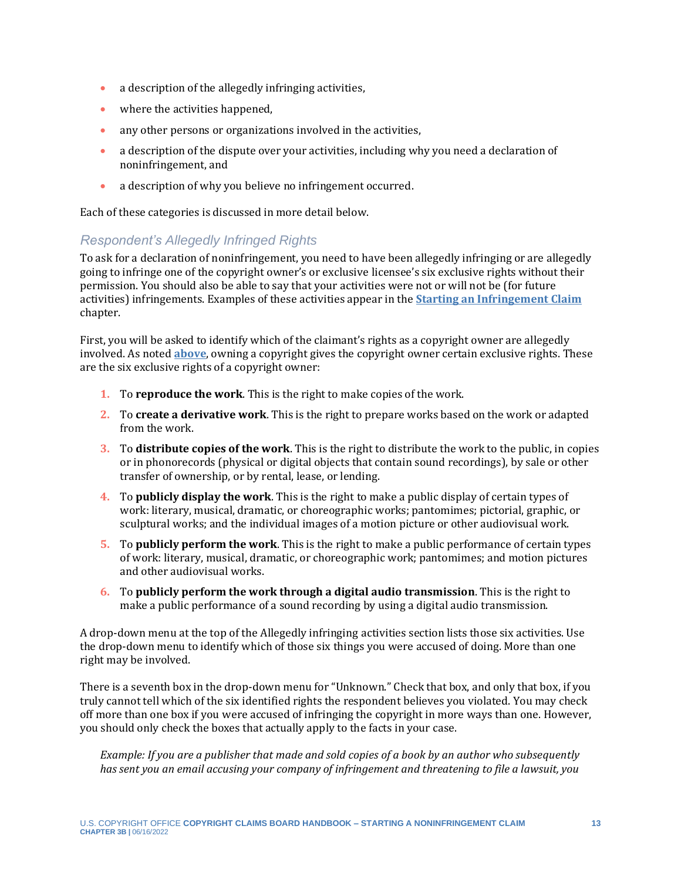- a description of the allegedly infringing activities,
- where the activities happened,
- any other persons or organizations involved in the activities,
- a description of the dispute over your activities, including why you need a declaration of noninfringement, and
- a description of why you believe no infringement occurred.

Each of these categories is discussed in more detail below.

#### <span id="page-12-0"></span>*Respondent's Allegedly Infringed Rights*

To ask for a declaration of noninfringement, you need to have been allegedly infringing or are allegedly going to infringe one of the copyright owner's or exclusive licensee's six exclusive rights without their permission. You should also be able to say that your activities were not or will not be (for future activities) infringements. Examples of these activities appear in the **[Starting an Infringement Claim](https://ccb.gov/handbook/Infringement-Claim.pdf)** chapter.

First, you will be asked to identify which of the claimant's rights as a copyright owner are allegedly involved. As noted **[above](#page-3-1)**, owning a copyright gives the copyright owner certain exclusive rights. These are the six exclusive rights of a copyright owner:

- **1.** To **reproduce the work**. This is the right to make copies of the work.
- **2.** To **create a derivative work**. This is the right to prepare works based on the work or adapted from the work.
- **3.** To **distribute copies of the work**. This is the right to distribute the work to the public, in copies or in phonorecords (physical or digital objects that contain sound recordings), by sale or other transfer of ownership, or by rental, lease, or lending.
- **4.** To **publicly display the work**. This is the right to make a public display of certain types of work: literary, musical, dramatic, or choreographic works; pantomimes; pictorial, graphic, or sculptural works; and the individual images of a motion picture or other audiovisual work.
- **5.** To **publicly perform the work**. This is the right to make a public performance of certain types of work: literary, musical, dramatic, or choreographic work; pantomimes; and motion pictures and other audiovisual works.
- **6.** To **publicly perform the work through a digital audio transmission**. This is the right to make a public performance of a sound recording by using a digital audio transmission.

A drop-down menu at the top of the Allegedly infringing activities section lists those six activities. Use the drop-down menu to identify which of those six things you were accused of doing. More than one right may be involved.

There is a seventh box in the drop-down menu for "Unknown." Check that box, and only that box, if you truly cannot tell which of the six identified rights the respondent believes you violated. You may check off more than one box if you were accused of infringing the copyright in more ways than one. However, you should only check the boxes that actually apply to the facts in your case.

*Example: If you are a publisher that made and sold copies of a book by an author who subsequently has sent you an email accusing your company of infringement and threatening to file a lawsuit, you*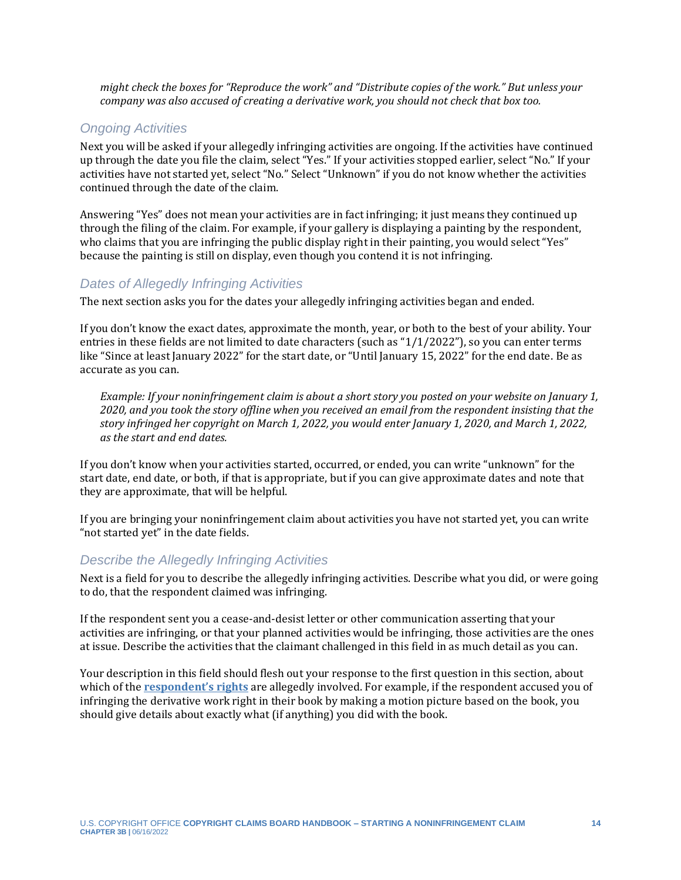*might check the boxes for "Reproduce the work" and "Distribute copies of the work." But unless your company was also accused of creating a derivative work, you should not check that box too.*

#### *Ongoing Activities*

Next you will be asked if your allegedly infringing activities are ongoing. If the activities have continued up through the date you file the claim, select "Yes." If your activities stopped earlier, select "No." If your activities have not started yet, select "No." Select "Unknown" if you do not know whether the activities continued through the date of the claim.

Answering "Yes" does not mean your activities are in fact infringing; it just means they continued up through the filing of the claim. For example, if your gallery is displaying a painting by the respondent, who claims that you are infringing the public display right in their painting, you would select "Yes" because the painting is still on display, even though you contend it is not infringing.

#### *Dates of Allegedly Infringing Activities*

The next section asks you for the dates your allegedly infringing activities began and ended.

If you don't know the exact dates, approximate the month, year, or both to the best of your ability. Your entries in these fields are not limited to date characters (such as "1/1/2022"), so you can enter terms like "Since at least January 2022" for the start date, or "Until January 15, 2022" for the end date. Be as accurate as you can.

*Example: If your noninfringement claim is about a short story you posted on your website on January 1, 2020, and you took the story offline when you received an email from the respondent insisting that the story infringed her copyright on March 1, 2022, you would enter January 1, 2020, and March 1, 2022, as the start and end dates.*

If you don't know when your activities started, occurred, or ended, you can write "unknown" for the start date, end date, or both, if that is appropriate, but if you can give approximate dates and note that they are approximate, that will be helpful.

If you are bringing your noninfringement claim about activities you have not started yet, you can write "not started yet" in the date fields.

#### *Describe the Allegedly Infringing Activities*

Next is a field for you to describe the allegedly infringing activities. Describe what you did, or were going to do, that the respondent claimed was infringing.

If the respondent sent you a cease-and-desist letter or other communication asserting that your activities are infringing, or that your planned activities would be infringing, those activities are the ones at issue. Describe the activities that the claimant challenged in this field in as much detail as you can.

Your description in this field should flesh out your response to the first question in this section, about which of the **[respondent's rights](#page-12-0)** are allegedly involved. For example, if the respondent accused you of infringing the derivative work right in their book by making a motion picture based on the book, you should give details about exactly what (if anything) you did with the book.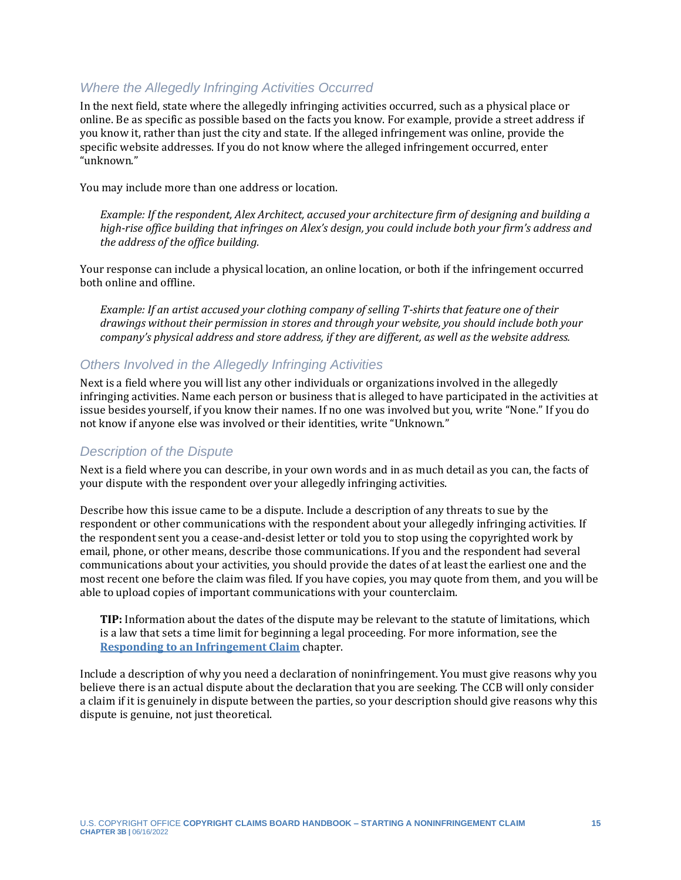#### *Where the Allegedly Infringing Activities Occurred*

In the next field, state where the allegedly infringing activities occurred, such as a physical place or online. Be as specific as possible based on the facts you know. For example, provide a street address if you know it, rather than just the city and state. If the alleged infringement was online, provide the specific website addresses. If you do not know where the alleged infringement occurred, enter "unknown."

You may include more than one address or location.

*Example: If the respondent, Alex Architect, accused your architecture firm of designing and building a high-rise office building that infringes on Alex's design, you could include both your firm's address and the address of the office building.* 

Your response can include a physical location, an online location, or both if the infringement occurred both online and offline.

*Example: If an artist accused your clothing company of selling T-shirts that feature one of their drawings without their permission in stores and through your website, you should include both your company's physical address and store address, if they are different, as well as the website address.*

#### *Others Involved in the Allegedly Infringing Activities*

Next is a field where you will list any other individuals or organizations involved in the allegedly infringing activities. Name each person or business that is alleged to have participated in the activities at issue besides yourself, if you know their names. If no one was involved but you, write "None." If you do not know if anyone else was involved or their identities, write "Unknown."

#### *Description of the Dispute*

Next is a field where you can describe, in your own words and in as much detail as you can, the facts of your dispute with the respondent over your allegedly infringing activities.

Describe how this issue came to be a dispute. Include a description of any threats to sue by the respondent or other communications with the respondent about your allegedly infringing activities. If the respondent sent you a cease-and-desist letter or told you to stop using the copyrighted work by email, phone, or other means, describe those communications. If you and the respondent had several communications about your activities, you should provide the dates of at least the earliest one and the most recent one before the claim was filed. If you have copies, you may quote from them, and you will be able to upload copies of important communications with your counterclaim.

**TIP:** Information about the dates of the dispute may be relevant to the statute of limitations, which is a law that sets a time limit for beginning a legal proceeding. For more information, see the **[Responding to an Infringement Claim](https://ccb.gov/handbook/Response-Infringement.pdf)** chapter.

Include a description of why you need a declaration of noninfringement. You must give reasons why you believe there is an actual dispute about the declaration that you are seeking. The CCB will only consider a claim if it is genuinely in dispute between the parties, so your description should give reasons why this dispute is genuine, not just theoretical.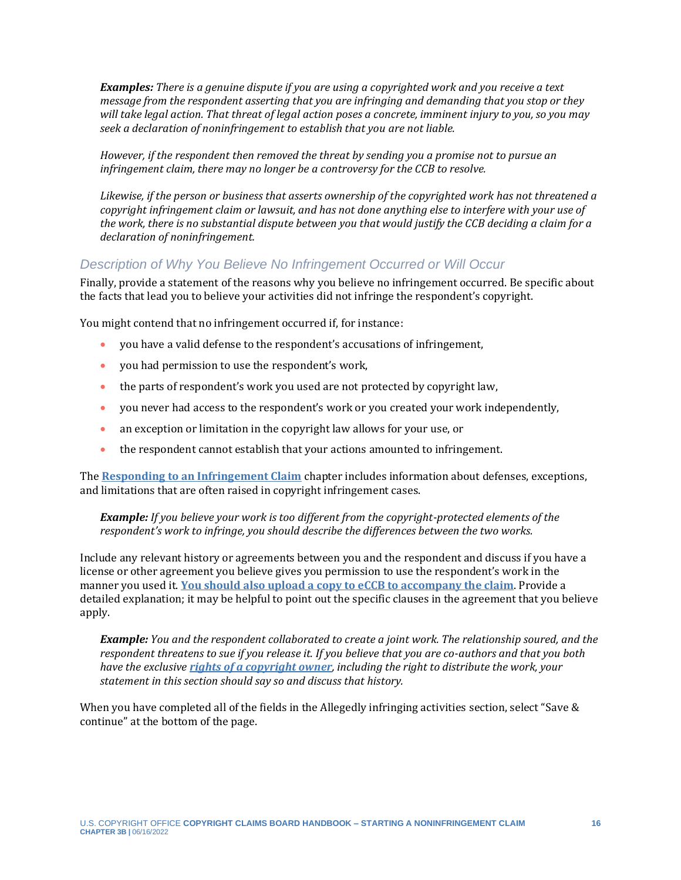*Examples: There is a genuine dispute if you are using a copyrighted work and you receive a text message from the respondent asserting that you are infringing and demanding that you stop or they will take legal action. That threat of legal action poses a concrete, imminent injury to you, so you may seek a declaration of noninfringement to establish that you are not liable.* 

*However, if the respondent then removed the threat by sending you a promise not to pursue an infringement claim, there may no longer be a controversy for the CCB to resolve.* 

*Likewise, if the person or business that asserts ownership of the copyrighted work has not threatened a copyright infringement claim or lawsuit, and has not done anything else to interfere with your use of the work, there is no substantial dispute between you that would justify the CCB deciding a claim for a declaration of noninfringement.*

#### *Description of Why You Believe No Infringement Occurred or Will Occur*

Finally, provide a statement of the reasons why you believe no infringement occurred. Be specific about the facts that lead you to believe your activities did not infringe the respondent's copyright.

You might contend that no infringement occurred if, for instance:

- you have a valid defense to the respondent's accusations of infringement,
- you had permission to use the respondent's work,
- the parts of respondent's work you used are not protected by copyright law,
- you never had access to the respondent's work or you created your work independently,
- an exception or limitation in the copyright law allows for your use, or
- the respondent cannot establish that your actions amounted to infringement.

The **[Responding to an Infringement Claim](https://ccb.gov/handbook/Response-Infringement.pdf)** chapter includes information about defenses, exceptions, and limitations that are often raised in copyright infringement cases.

#### *Example: If you believe your work is too different from the copyright-protected elements of the respondent's work to infringe, you should describe the differences between the two works.*

Include any relevant history or agreements between you and the respondent and discuss if you have a license or other agreement you believe gives you permission to use the respondent's work in the manner you used it. **[You should also upload a copy to eCCB to accompany the claim](#page-15-0)**. Provide a detailed explanation; it may be helpful to point out the specific clauses in the agreement that you believe apply.

*Example: You and the respondent collaborated to create a joint work. The relationship soured, and the respondent threatens to sue if you release it. If you believe that you are co-authors and that you both have the exclusive [rights of a copyright owner](#page-12-0), including the right to distribute the work, your statement in this section should say so and discuss that history.*

<span id="page-15-0"></span>When you have completed all of the fields in the Allegedly infringing activities section, select "Save & continue" at the bottom of the page.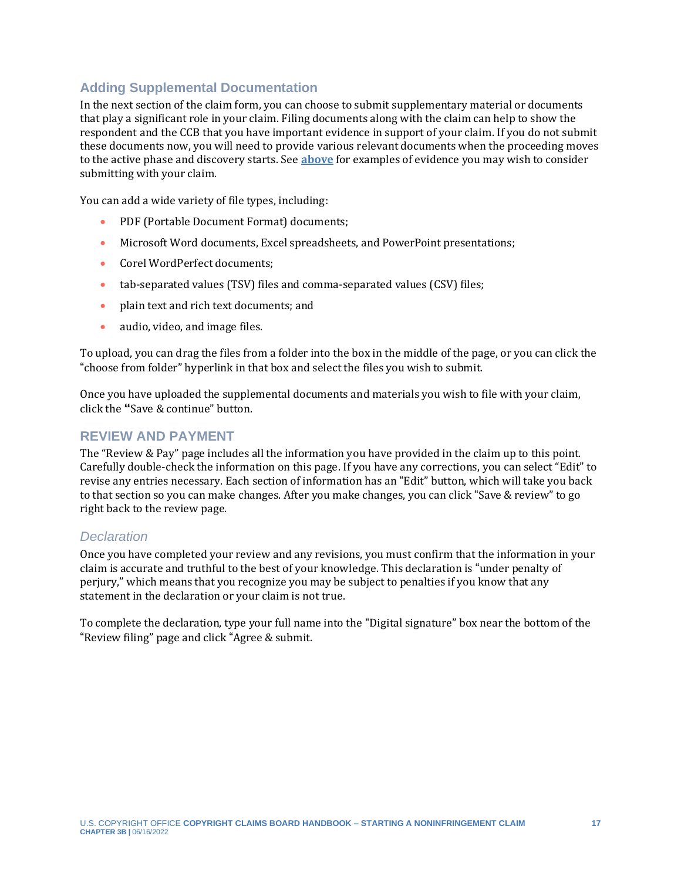#### **Adding Supplemental Documentation**

In the next section of the claim form, you can choose to submit supplementary material or documents that play a significant role in your claim. Filing documents along with the claim can help to show the respondent and the CCB that you have important evidence in support of your claim. If you do not submit these documents now, you will need to provide various relevant documents when the proceeding moves to the active phase and discovery starts. See **[above](#page-4-0)** for examples of evidence you may wish to consider submitting with your claim.

You can add a wide variety of file types, including:

- PDF (Portable Document Format) documents;
- Microsoft Word documents, Excel spreadsheets, and PowerPoint presentations;
- Corel WordPerfect documents;
- tab-separated values (TSV) files and comma-separated values (CSV) files;
- plain text and rich text documents; and
- audio, video, and image files.

To upload, you can drag the files from a folder into the box in the middle of the page, or you can click the "choose from folder" hyperlink in that box and select the files you wish to submit.

Once you have uploaded the supplemental documents and materials you wish to file with your claim, click the **"**Save & continue" button.

#### **REVIEW AND PAYMENT**

The "Review & Pay" page includes all the information you have provided in the claim up to this point. Carefully double-check the information on this page. If you have any corrections, you can select "Edit" to revise any entries necessary. Each section of information has an "Edit" button, which will take you back to that section so you can make changes. After you make changes, you can click "Save & review" to go right back to the review page.

#### *Declaration*

Once you have completed your review and any revisions, you must confirm that the information in your claim is accurate and truthful to the best of your knowledge. This declaration is "under penalty of perjury," which means that you recognize you may be subject to penalties if you know that any statement in the declaration or your claim is not true.

To complete the declaration, type your full name into the "Digital signature" box near the bottom of the "Review filing" page and click "Agree & submit.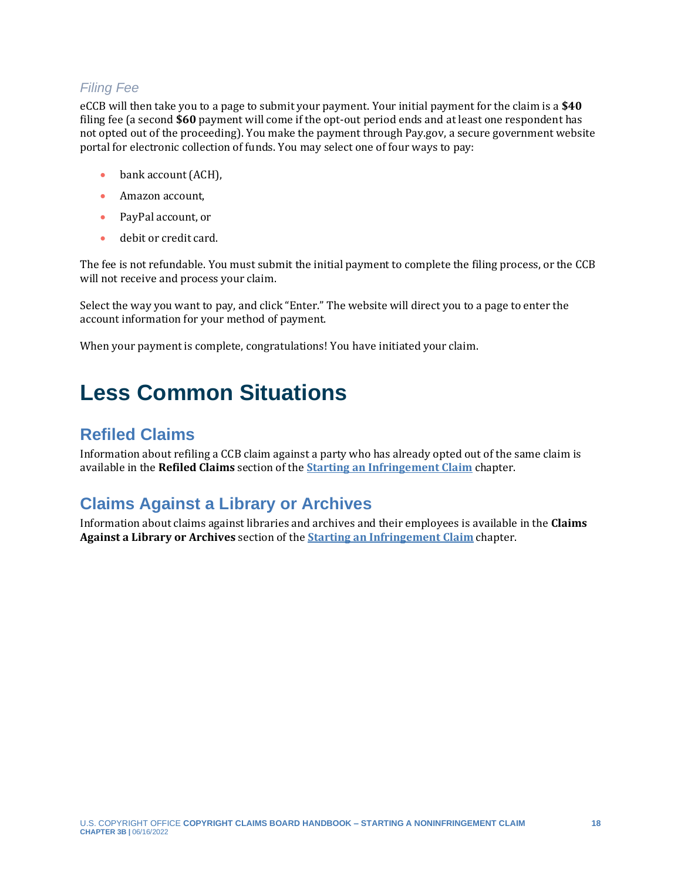#### *Filing Fee*

eCCB will then take you to a page to submit your payment. Your initial payment for the claim is a **\$40** filing fee (a second **\$60** payment will come if the opt-out period ends and at least one respondent has not opted out of the proceeding). You make the payment through Pay.gov, a secure government website portal for electronic collection of funds. You may select one of four ways to pay:

- bank account (ACH).
- Amazon account,
- PayPal account, or
- debit or credit card.

The fee is not refundable. You must submit the initial payment to complete the filing process, or the CCB will not receive and process your claim.

Select the way you want to pay, and click "Enter." The website will direct you to a page to enter the account information for your method of payment.

When your payment is complete, congratulations! You have initiated your claim.

# <span id="page-17-0"></span>**Less Common Situations**

## <span id="page-17-1"></span>**Refiled Claims**

Information about refiling a CCB claim against a party who has already opted out of the same claim is available in the **Refiled Claims** section of the **[Starting an Infringement Claim](https://ccb.gov/handbook/Infringement-Claim.pdf)** chapter.

### <span id="page-17-2"></span>**Claims Against a Library or Archives**

Information about claims against libraries and archives and their employees is available in the **Claims Against a Library or Archives** section of the **[Starting an Infringement Claim](https://ccb.gov/handbook/Infringement-Claim.pdf)** chapter.